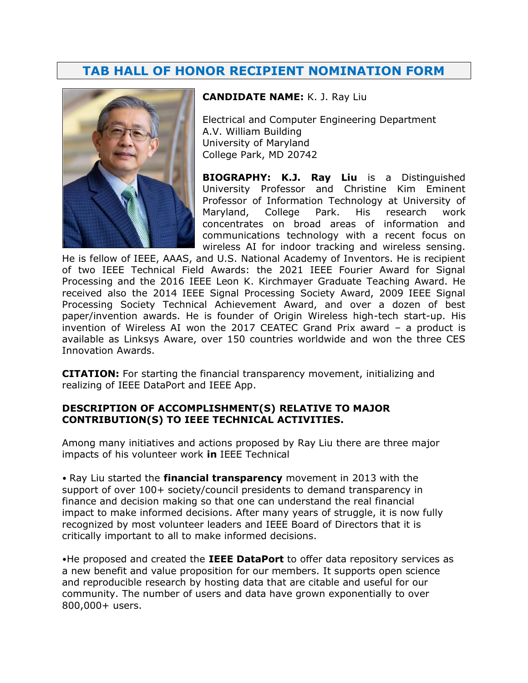# **TAB HALL OF HONOR RECIPIENT NOMINATION FORM**



### **CANDIDATE NAME:** K. J. Ray Liu

Electrical and Computer Engineering Department A.V. William Building University of Maryland College Park, MD 20742

**BIOGRAPHY: K.J. Ray Liu** is a Distinguished University Professor and Christine Kim Eminent Professor of Information Technology at University of Maryland, College Park. His research work concentrates on broad areas of information and communications technology with a recent focus on wireless AI for indoor tracking and wireless sensing.

He is fellow of IEEE, AAAS, and U.S. National Academy of Inventors. He is recipient of two IEEE Technical Field Awards: the 2021 IEEE Fourier Award for Signal Processing and the 2016 IEEE Leon K. Kirchmayer Graduate Teaching Award. He received also the 2014 IEEE Signal Processing Society Award, 2009 IEEE Signal Processing Society Technical Achievement Award, and over a dozen of best paper/invention awards. He is founder of Origin Wireless high-tech start-up. His invention of Wireless AI won the 2017 CEATEC Grand Prix award – a product is available as Linksys Aware, over 150 countries worldwide and won the three CES Innovation Awards.

**CITATION:** For starting the financial transparency movement, initializing and realizing of IEEE DataPort and IEEE App.

### **DESCRIPTION OF ACCOMPLISHMENT(S) RELATIVE TO MAJOR CONTRIBUTION(S) TO IEEE TECHNICAL ACTIVITIES.**

Among many initiatives and actions proposed by Ray Liu there are three major impacts of his volunteer work **in** IEEE Technical

• Ray Liu started the **financial transparency** movement in 2013 with the support of over 100+ society/council presidents to demand transparency in finance and decision making so that one can understand the real financial impact to make informed decisions. After many years of struggle, it is now fully recognized by most volunteer leaders and IEEE Board of Directors that it is critically important to all to make informed decisions.

•He proposed and created the **IEEE DataPort** to offer data repository services as a new benefit and value proposition for our members. It supports open science and reproducible research by hosting data that are citable and useful for our community. The number of users and data have grown exponentially to over 800,000+ users.